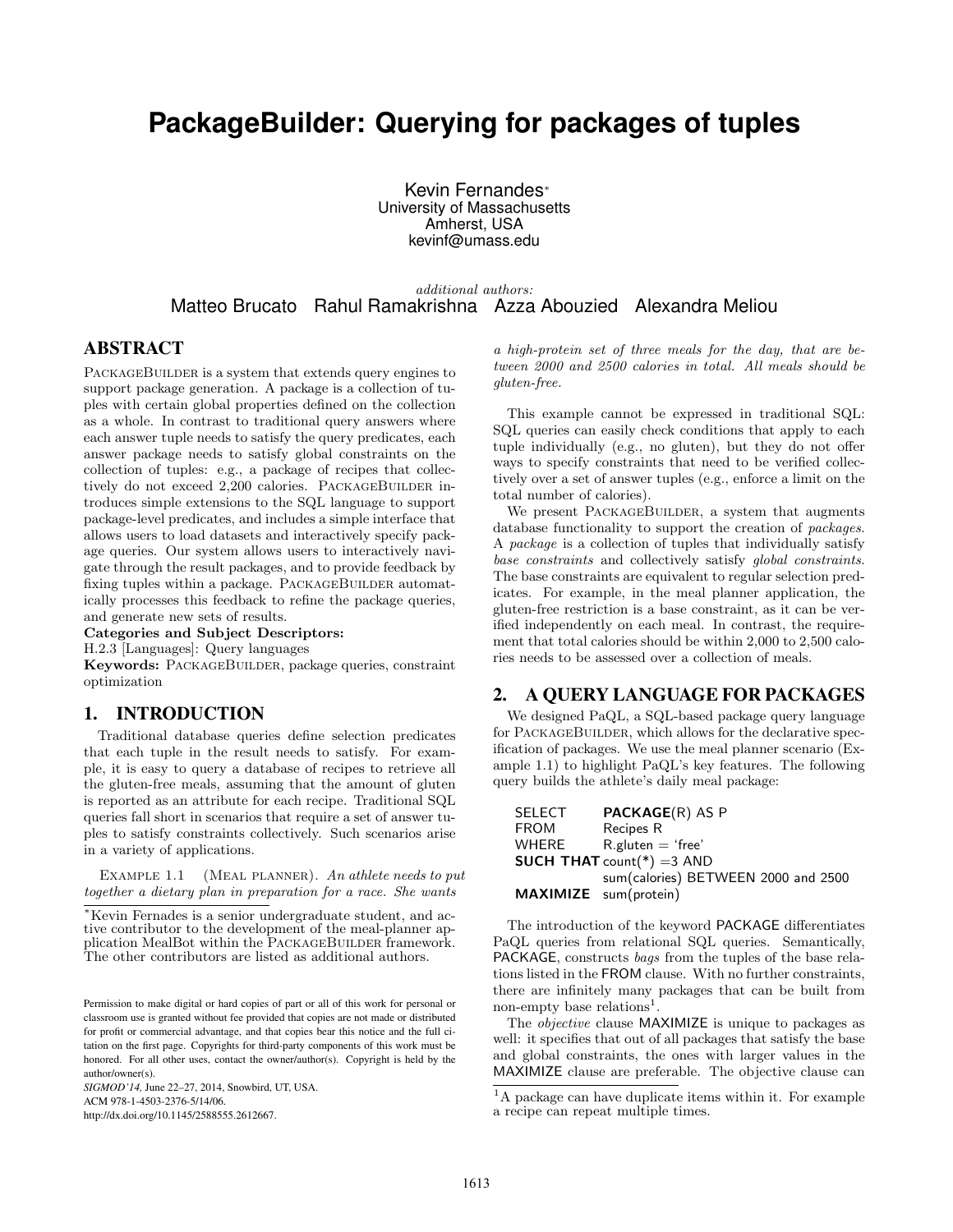# **PackageBuilder: Querying for packages of tuples**

Kevin Fernandes<sup>∗</sup> University of Massachusetts Amherst, USA kevinf@umass.edu

additional authors: Matteo Brucato Rahul Ramakrishna Azza Abouzied Alexandra Meliou

## ABSTRACT

PACKAGEBUILDER is a system that extends query engines to support package generation. A package is a collection of tuples with certain global properties defined on the collection as a whole. In contrast to traditional query answers where each answer tuple needs to satisfy the query predicates, each answer package needs to satisfy global constraints on the collection of tuples: e.g., a package of recipes that collectively do not exceed 2,200 calories. PACKAGEBUILDER introduces simple extensions to the SQL language to support package-level predicates, and includes a simple interface that allows users to load datasets and interactively specify package queries. Our system allows users to interactively navigate through the result packages, and to provide feedback by fixing tuples within a package. PACKAGEBUILDER automatically processes this feedback to refine the package queries, and generate new sets of results.

Categories and Subject Descriptors:

H.2.3 [Languages]: Query languages

Keywords: PACKAGEBUILDER, package queries, constraint optimization

## 1. INTRODUCTION

Traditional database queries define selection predicates that each tuple in the result needs to satisfy. For example, it is easy to query a database of recipes to retrieve all the gluten-free meals, assuming that the amount of gluten is reported as an attribute for each recipe. Traditional SQL queries fall short in scenarios that require a set of answer tuples to satisfy constraints collectively. Such scenarios arise in a variety of applications.

EXAMPLE 1.1 (MEAL PLANNER). An athlete needs to put together a dietary plan in preparation for a race. She wants

<sup>∗</sup>Kevin Fernades is a senior undergraduate student, and active contributor to the development of the meal-planner application MealBot within the PACKAGEBUILDER framework. The other contributors are listed as additional authors.

*SIGMOD'14,* June 22–27, 2014, Snowbird, UT, USA. ACM 978-1-4503-2376-5/14/06. http://dx.doi.org/10.1145/2588555.2612667.

a high-protein set of three meals for the day, that are between 2000 and 2500 calories in total. All meals should be gluten-free.

This example cannot be expressed in traditional SQL: SQL queries can easily check conditions that apply to each tuple individually (e.g., no gluten), but they do not offer ways to specify constraints that need to be verified collectively over a set of answer tuples (e.g., enforce a limit on the total number of calories).

We present PACKAGEBUILDER, a system that augments database functionality to support the creation of packages. A package is a collection of tuples that individually satisfy base constraints and collectively satisfy global constraints. The base constraints are equivalent to regular selection predicates. For example, in the meal planner application, the gluten-free restriction is a base constraint, as it can be verified independently on each meal. In contrast, the requirement that total calories should be within 2,000 to 2,500 calories needs to be assessed over a collection of meals.

## 2. A QUERY LANGUAGE FOR PACKAGES

We designed PaQL, a SQL-based package query language for PACKAGEBUILDER, which allows for the declarative specification of packages. We use the meal planner scenario (Example 1.1) to highlight PaQL's key features. The following query builds the athlete's daily meal package:

| <b>SELECT</b>         | <b>PACKAGE(R) AS P</b>              |
|-----------------------|-------------------------------------|
| <b>FROM</b>           | Recipes R                           |
| WHERE                 | $R$ .gluten $=$ 'free'              |
|                       | <b>SUCH THAT</b> count(*) = 3 AND   |
|                       | sum(calories) BETWEEN 2000 and 2500 |
| MAXIMIZE sum(protein) |                                     |

The introduction of the keyword PACKAGE differentiates PaQL queries from relational SQL queries. Semantically, PACKAGE, constructs bags from the tuples of the base relations listed in the FROM clause. With no further constraints, there are infinitely many packages that can be built from non-empty base relations<sup>1</sup>.

The objective clause MAXIMIZE is unique to packages as well: it specifies that out of all packages that satisfy the base and global constraints, the ones with larger values in the MAXIMIZE clause are preferable. The objective clause can

Permission to make digital or hard copies of part or all of this work for personal or classroom use is granted without fee provided that copies are not made or distributed for profit or commercial advantage, and that copies bear this notice and the full citation on the first page. Copyrights for third-party components of this work must be honored. For all other uses, contact the owner/author(s). Copyright is held by the author/owner(s).

<sup>&</sup>lt;sup>1</sup>A package can have duplicate items within it. For example a recipe can repeat multiple times.